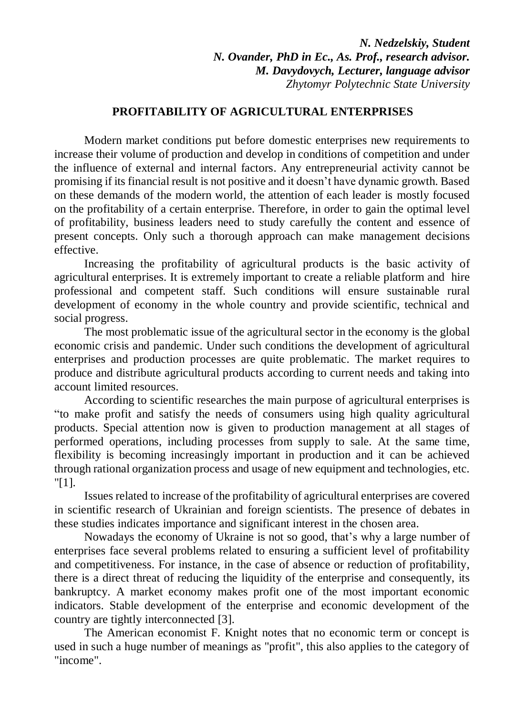*N. Nedzelskiy, Student N. Ovander, PhD in Ec., As. Prof., research advisor. M. Davydovych, Lecturer, language advisor Zhytomyr Polytechnic State University*

## **PROFITABILITY OF AGRICULTURAL ENTERPRISES**

Modern market conditions put before domestic enterprises new requirements to increase their volume of production and develop in conditions of competition and under the influence of external and internal factors. Any entrepreneurial activity cannot be promising if its financial result is not positive and it doesn't have dynamic growth. Based on these demands of the modern world, the attention of each leader is mostly focused on the profitability of a certain enterprise. Therefore, in order to gain the optimal level of profitability, business leaders need to study carefully the content and essence of present concepts. Only such a thorough approach can make management decisions effective.

Increasing the profitability of agricultural products is the basic activity of agricultural enterprises. It is extremely important to create a reliable platform and hire professional and competent staff. Such conditions will ensure sustainable rural development of economy in the whole country and provide scientific, technical and social progress.

The most problematic issue of the agricultural sector in the economy is the global economic crisis and pandemic. Under such conditions the development of agricultural enterprises and production processes are quite problematic. The market requires to produce and distribute agricultural products according to current needs and taking into account limited resources.

According to scientific researches the main purpose of agricultural enterprises is "to make profit and satisfy the needs of consumers using high quality agricultural products. Special attention now is given to production management at all stages of performed operations, including processes from supply to sale. At the same time, flexibility is becoming increasingly important in production and it can be achieved through rational organization process and usage of new equipment and technologies, etc. "[1].

Issues related to increase of the profitability of agricultural enterprises are covered in scientific research of Ukrainian and foreign scientists. The presence of debates in these studies indicates importance and significant interest in the chosen area.

Nowadays the economy of Ukraine is not so good, that's why a large number of enterprises face several problems related to ensuring a sufficient level of profitability and competitiveness. For instance, in the case of absence or reduction of profitability, there is a direct threat of reducing the liquidity of the enterprise and consequently, its bankruptcy. A market economy makes profit one of the most important economic indicators. Stable development of the enterprise and economic development of the country are tightly interconnected [3].

The American economist F. Knight notes that no economic term or concept is used in such a huge number of meanings as "profit", this also applies to the category of "income".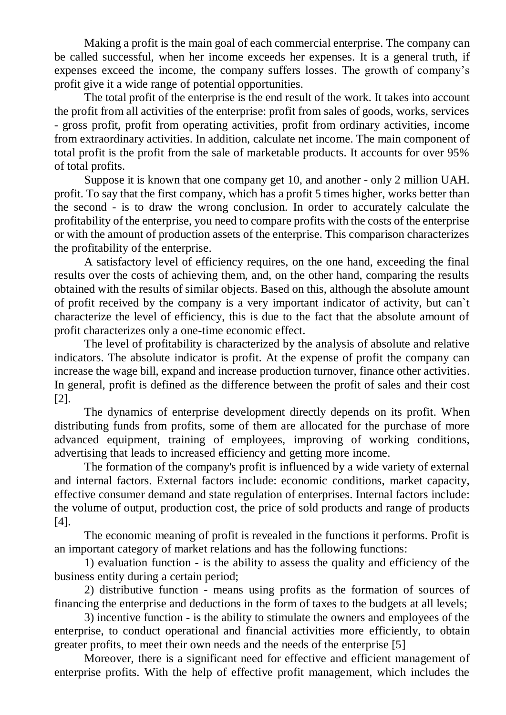Making a profit is the main goal of each commercial enterprise. The company can be called successful, when her income exceeds her expenses. It is a general truth, if expenses exceed the income, the company suffers losses. The growth of company's profit give it a wide range of potential opportunities.

The total profit of the enterprise is the end result of the work. It takes into account the profit from all activities of the enterprise: profit from sales of goods, works, services - gross profit, profit from operating activities, profit from ordinary activities, income from extraordinary activities. In addition, calculate net income. The main component of total profit is the profit from the sale of marketable products. It accounts for over 95% of total profits.

Suppose it is known that one company get 10, and another - only 2 million UAH. profit. To say that the first company, which has a profit 5 times higher, works better than the second - is to draw the wrong conclusion. In order to accurately calculate the profitability of the enterprise, you need to compare profits with the costs of the enterprise or with the amount of production assets of the enterprise. This comparison characterizes the profitability of the enterprise.

A satisfactory level of efficiency requires, on the one hand, exceeding the final results over the costs of achieving them, and, on the other hand, comparing the results obtained with the results of similar objects. Based on this, although the absolute amount of profit received by the company is a very important indicator of activity, but can`t characterize the level of efficiency, this is due to the fact that the absolute amount of profit characterizes only a one-time economic effect.

The level of profitability is characterized by the analysis of absolute and relative indicators. The absolute indicator is profit. At the expense of profit the company can increase the wage bill, expand and increase production turnover, finance other activities. In general, profit is defined as the difference between the profit of sales and their cost [2].

The dynamics of enterprise development directly depends on its profit. When distributing funds from profits, some of them are allocated for the purchase of more advanced equipment, training of employees, improving of working conditions, advertising that leads to increased efficiency and getting more income.

The formation of the company's profit is influenced by a wide variety of external and internal factors. External factors include: economic conditions, market capacity, effective consumer demand and state regulation of enterprises. Internal factors include: the volume of output, production cost, the price of sold products and range of products [4].

The economic meaning of profit is revealed in the functions it performs. Profit is an important category of market relations and has the following functions:

1) evaluation function - is the ability to assess the quality and efficiency of the business entity during a certain period;

2) distributive function - means using profits as the formation of sources of financing the enterprise and deductions in the form of taxes to the budgets at all levels;

3) incentive function - is the ability to stimulate the owners and employees of the enterprise, to conduct operational and financial activities more efficiently, to obtain greater profits, to meet their own needs and the needs of the enterprise [5]

Moreover, there is a significant need for effective and efficient management of enterprise profits. With the help of effective profit management, which includes the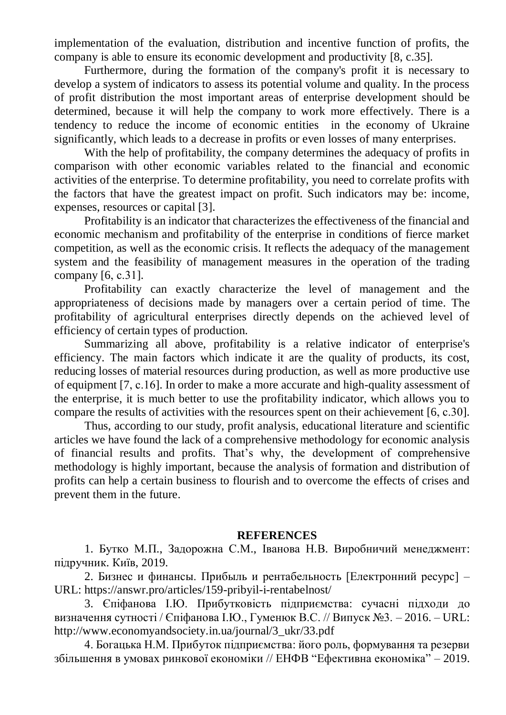implementation of the evaluation, distribution and incentive function of profits, the company is able to ensure its economic development and productivity [8, c.35].

Furthermore, during the formation of the company's profit it is necessary to develop a system of indicators to assess its potential volume and quality. In the process of profit distribution the most important areas of enterprise development should be determined, because it will help the company to work more effectively. There is a tendency to reduce the income of economic entities in the economy of Ukraine significantly, which leads to a decrease in profits or even losses of many enterprises.

With the help of profitability, the company determines the adequacy of profits in comparison with other economic variables related to the financial and economic activities of the enterprise. To determine profitability, you need to correlate profits with the factors that have the greatest impact on profit. Such indicators may be: income, expenses, resources or capital [3].

Profitability is an indicator that characterizes the effectiveness of the financial and economic mechanism and profitability of the enterprise in conditions of fierce market competition, as well as the economic crisis. It reflects the adequacy of the management system and the feasibility of management measures in the operation of the trading company [6, с.31].

Profitability can exactly characterize the level of management and the appropriateness of decisions made by managers over a certain period of time. The profitability of agricultural enterprises directly depends on the achieved level of efficiency of certain types of production.

Summarizing all above, profitability is a relative indicator of enterprise's efficiency. The main factors which indicate it are the quality of products, its cost, reducing losses of material resources during production, as well as more productive use of equipment [7, с.16]. In order to make a more accurate and high-quality assessment of the enterprise, it is much better to use the profitability indicator, which allows you to compare the results of activities with the resources spent on their achievement [6, с.30].

Thus, according to our study, profit analysis, educational literature and scientific articles we have found the lack of a comprehensive methodology for economic analysis of financial results and profits. That's why, the development of comprehensive methodology is highly important, because the analysis of formation and distribution of profits can help a certain business to flourish and to overcome the effects of crises and prevent them in the future.

## **REFERENCES**

1. Бутко М.П., Задорожна С.М., Іванова Н.В. Виробничий менеджмент: підручник. Київ, 2019.

2. Бизнес и финансы. Прибыль и рентабельность [Електронний ресурс] – URL:<https://answr.pro/articles/159-pribyil-i-rentabelnost/>

3. Єпіфанова І.Ю. Прибутковість підприємства: сучасні підходи до визначення сутності / Єпіфанова І.Ю., Гуменюк В.С. // Випуск №3. – 2016. – URL: [http://www.economyandsociety.in.ua/journal/3\\_ukr/33.pdf](http://www.economyandsociety.in.ua/journal/3_ukr/33.pdf)

4. Богацька Н.М. Прибуток підприємства: його роль, формування та резерви збільшення в умовах ринкової економіки // ЕНФВ "Ефективна економіка" – 2019.